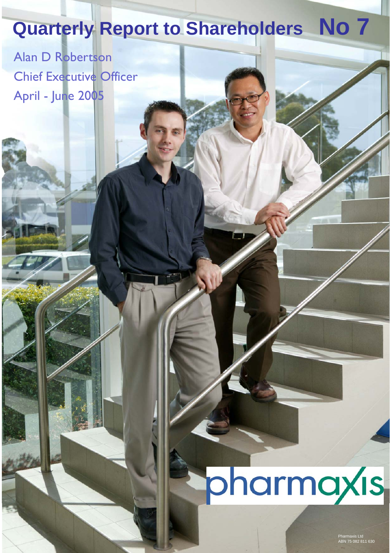## **Quarterly Report to Shareholders No 7**

Alan D Robertson Chief Executive Officer April - June 2005

# pharmaxis

Pharmaxis Ltd ABN 75 082 811 630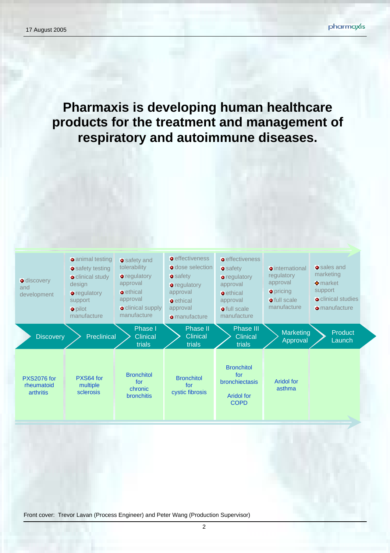**Pharmaxis is developing human healthcare products for the treatment and management of respiratory and autoimmune diseases.** 



Front cover: Trevor Lavan (Process Engineer) and Peter Wang (Production Supervisor)

2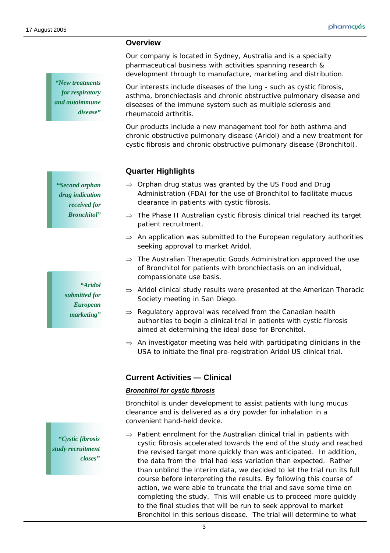**Overview** 

*"New treatments for respiratory and autoimmune disease"* 

*"Second orphan drug indication received for Bronchitol"* 

> *"Aridol submitted for European marketing"*

*"Cystic fibrosis study recruitment closes"* 

Our company is located in Sydney, Australia and is a specialty pharmaceutical business with activities spanning research & development through to manufacture, marketing and distribution.

Our interests include diseases of the lung - such as cystic fibrosis, asthma, bronchiectasis and chronic obstructive pulmonary disease and diseases of the immune system such as multiple sclerosis and rheumatoid arthritis.

Our products include a new management tool for both asthma and chronic obstructive pulmonary disease (Aridol) and a new treatment for cystic fibrosis and chronic obstructive pulmonary disease (Bronchitol).

#### **Quarter Highlights**

- $\Rightarrow$  Orphan drug status was granted by the US Food and Drug Administration (FDA) for the use of Bronchitol to facilitate mucus clearance in patients with cystic fibrosis.
- ⇒ The Phase II Australian cystic fibrosis clinical trial reached its target patient recruitment.
- $\Rightarrow$  An application was submitted to the European regulatory authorities seeking approval to market Aridol.
- $\Rightarrow$  The Australian Therapeutic Goods Administration approved the use of Bronchitol for patients with bronchiectasis on an individual, compassionate use basis.
- $\Rightarrow$  Aridol clinical study results were presented at the American Thoracic Society meeting in San Diego.
- $\Rightarrow$  Regulatory approval was received from the Canadian health authorities to begin a clinical trial in patients with cystic fibrosis aimed at determining the ideal dose for Bronchitol.
- $\Rightarrow$  An investigator meeting was held with participating clinicians in the USA to initiate the final pre-registration Aridol US clinical trial.

#### **Current Activities — Clinical**

#### *Bronchitol for cystic fibrosis*

Bronchitol is under development to assist patients with lung mucus clearance and is delivered as a dry powder for inhalation in a convenient hand-held device.

 $\Rightarrow$  Patient enrolment for the Australian clinical trial in patients with cystic fibrosis accelerated towards the end of the study and reached the revised target more quickly than was anticipated. In addition, the data from the trial had less variation than expected. Rather than unblind the interim data, we decided to let the trial run its full course before interpreting the results. By following this course of action, we were able to truncate the trial and save some time on completing the study. This will enable us to proceed more quickly to the final studies that will be run to seek approval to market Bronchitol in this serious disease. The trial will determine to what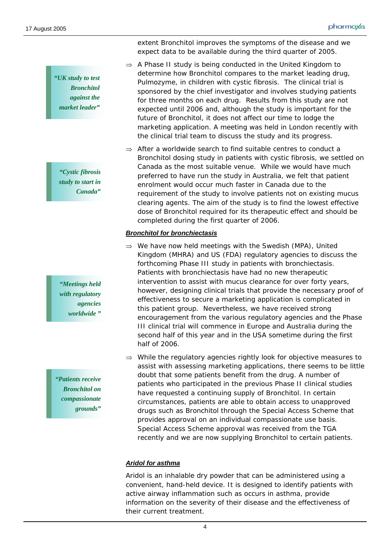*"UK study to test Bronchitol against the market leader"* 

*"Cystic fibrosis study to start in Canada"* 

*"Meetings held with regulatory agencies worldwide "* 

*"Patients receive Bronchitol on compassionate grounds"* 

extent Bronchitol improves the symptoms of the disease and we expect data to be available during the third quarter of 2005.

- $\Rightarrow$  A Phase II study is being conducted in the United Kingdom to determine how Bronchitol compares to the market leading drug, Pulmozyme, in children with cystic fibrosis. The clinical trial is sponsored by the chief investigator and involves studying patients for three months on each drug. Results from this study are not expected until 2006 and, although the study is important for the future of Bronchitol, it does not affect our time to lodge the marketing application. A meeting was held in London recently with the clinical trial team to discuss the study and its progress.
- $\Rightarrow$  After a worldwide search to find suitable centres to conduct a Bronchitol dosing study in patients with cystic fibrosis, we settled on Canada as the most suitable venue. While we would have much preferred to have run the study in Australia, we felt that patient enrolment would occur much faster in Canada due to the requirement of the study to involve patients not on existing mucus clearing agents. The aim of the study is to find the lowest effective dose of Bronchitol required for its therapeutic effect and should be completed during the first quarter of 2006.

#### *Bronchitol for bronchiectasis*

- $\Rightarrow$  We have now held meetings with the Swedish (MPA), United Kingdom (MHRA) and US (FDA) regulatory agencies to discuss the forthcoming Phase III study in patients with bronchiectasis. Patients with bronchiectasis have had no new therapeutic intervention to assist with mucus clearance for over forty years, however, designing clinical trials that provide the necessary proof of effectiveness to secure a marketing application is complicated in this patient group. Nevertheless, we have received strong encouragement from the various regulatory agencies and the Phase III clinical trial will commence in Europe and Australia during the second half of this year and in the USA sometime during the first half of 2006.
- $\Rightarrow$  While the regulatory agencies rightly look for objective measures to assist with assessing marketing applications, there seems to be little doubt that some patients benefit from the drug. A number of patients who participated in the previous Phase II clinical studies have requested a continuing supply of Bronchitol. In certain circumstances, patients are able to obtain access to unapproved drugs such as Bronchitol through the Special Access Scheme that provides approval on an individual compassionate use basis. Special Access Scheme approval was received from the TGA recently and we are now supplying Bronchitol to certain patients.

#### *Aridol for asthma*

Aridol is an inhalable dry powder that can be administered using a convenient, hand-held device. It is designed to identify patients with active airway inflammation such as occurs in asthma, provide information on the severity of their disease and the effectiveness of their current treatment.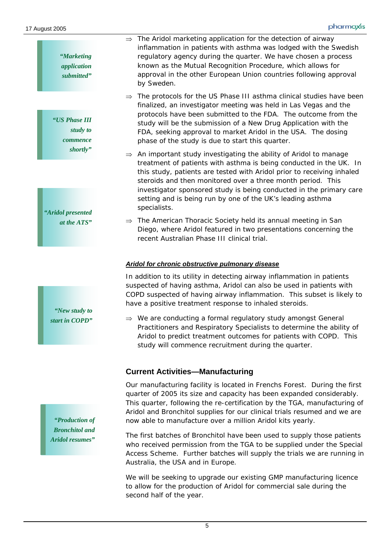| "Marketing"<br>application<br>submitted" | $\Rightarrow$ The Aridol marketing application for the detection of airway<br>inflammation in patients with asthma was lodged with the Swedish<br>regulatory agency during the quarter. We have chosen a process<br>known as the Mutual Recognition Procedure, which allows for<br>approval in the other European Union countries following approval<br>by Sweden.                                                                                 |
|------------------------------------------|----------------------------------------------------------------------------------------------------------------------------------------------------------------------------------------------------------------------------------------------------------------------------------------------------------------------------------------------------------------------------------------------------------------------------------------------------|
| "US Phase III<br>study to<br>commence    | $\Rightarrow$ The protocols for the US Phase III asthma clinical studies have been<br>finalized, an investigator meeting was held in Las Vegas and the<br>protocols have been submitted to the FDA. The outcome from the<br>study will be the submission of a New Drug Application with the<br>FDA, seeking approval to market Aridol in the USA. The dosing<br>phase of the study is due to start this quarter.                                   |
| shortly"<br>"Aridol presented            | $\Rightarrow$ An important study investigating the ability of Aridol to manage<br>treatment of patients with asthma is being conducted in the UK. In<br>this study, patients are tested with Aridol prior to receiving inhaled<br>steroids and then monitored over a three month period. This<br>investigator sponsored study is being conducted in the primary care<br>setting and is being run by one of the UK's leading asthma<br>specialists. |
| at the ATS"                              | $\Rightarrow$ The American Thoracic Society held its annual meeting in San                                                                                                                                                                                                                                                                                                                                                                         |

Diego, where Aridol featured in two presentations concerning the recent Australian Phase III clinical trial.

#### *Aridol for chronic obstructive pulmonary disease*

In addition to its utility in detecting airway inflammation in patients suspected of having asthma, Aridol can also be used in patients with COPD suspected of having airway inflammation. This subset is likely to have a positive treatment response to inhaled steroids.

⇒ We are conducting a formal regulatory study amongst General Practitioners and Respiratory Specialists to determine the ability of Aridol to predict treatment outcomes for patients with COPD. This study will commence recruitment during the quarter.

#### **Current Activities—Manufacturing**

Our manufacturing facility is located in Frenchs Forest. During the first quarter of 2005 its size and capacity has been expanded considerably. This quarter, following the re-certification by the TGA, manufacturing of Aridol and Bronchitol supplies for our clinical trials resumed and we are now able to manufacture over a million Aridol kits yearly.

The first batches of Bronchitol have been used to supply those patients who received permission from the TGA to be supplied under the Special Access Scheme. Further batches will supply the trials we are running in Australia, the USA and in Europe.

We will be seeking to upgrade our existing GMP manufacturing licence to allow for the production of Aridol for commercial sale during the second half of the year.

*"Production of Bronchitol and Aridol resumes"* 

*"New study to start in COPD"*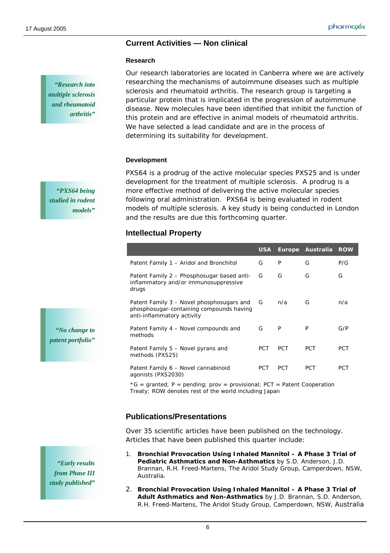#### **Current Activities — Non clinical**

#### **Research**

*"Research into multiple sclerosis and rheumatoid arthritis"* 

Our research laboratories are located in Canberra where we are actively researching the mechanisms of autoimmune diseases such as multiple sclerosis and rheumatoid arthritis. The research group is targeting a particular protein that is implicated in the progression of autoimmune disease. New molecules have been identified that inhibit the function of this protein and are effective in animal models of rheumatoid arthritis. We have selected a lead candidate and are in the process of determining its suitability for development.

#### **Development**

PXS64 is a prodrug of the active molecular species PXS25 and is under development for the treatment of multiple sclerosis. A prodrug is a more effective method of delivering the active molecular species following oral administration. PXS64 is being evaluated in rodent models of multiple sclerosis. A key study is being conducted in London and the results are due this forthcoming quarter.

#### **Intellectual Property**

|                                                                                                                     | <b>USA</b> | <b>Europe</b> | Australia  | <b>ROW</b> |
|---------------------------------------------------------------------------------------------------------------------|------------|---------------|------------|------------|
| Patent Family 1 - Aridol and Bronchitol                                                                             | G          | P             | G          | P/G        |
| Patent Family 2 - Phosphosugar based anti-<br>inflammatory and/or immunosuppressive<br>drugs                        | G          | G             | G          | G          |
| Patent Family 3 – Novel phosphosugars and<br>phosphosugar-containing compounds having<br>anti-inflammatory activity | G          | n/a           | G          | n/a        |
| Patent Family 4 - Novel compounds and<br>methods                                                                    | G          | P             | P          | G/P        |
| Patent Family 5 – Novel pyrans and<br>methods (PXS25)                                                               | <b>PCT</b> | <b>PCT</b>    | <b>PCT</b> | PCT        |
| Patent Family 6 - Novel cannabinoid<br>agonists (PXS2030)                                                           | <b>PCT</b> | <b>PCT</b>    | <b>PCT</b> | PCT        |

 $*G =$  granted; P = pending; prov = provisional; PCT = Patent Cooperation Treaty; ROW denotes rest of the world including Japan

### **Publications/Presentations**

Over 35 scientific articles have been published on the technology. Articles that have been published this quarter include:

- 1. **Bronchial Provocation Using Inhaled Mannitol A Phase 3 Trial of Pediatric Asthmatics and Non-Asthmatics** by S.D. Anderson, J.D. Brannan, R.H. Freed-Martens, The Aridol Study Group, Camperdown, NSW, Australia.
- 2. **Bronchial Provocation Using Inhaled Mannitol A Phase 3 Trial of Adult Asthmatics and Non-Asthmatics** by J.D. Brannan, S.D. Anderson, R.H. Freed-Martens, The Aridol Study Group, Camperdown, NSW, Australia

*"PXS64 being studied in rodent models"* 

*"No change to patent portfolio"* 

*"Early results from Phase III study published"*